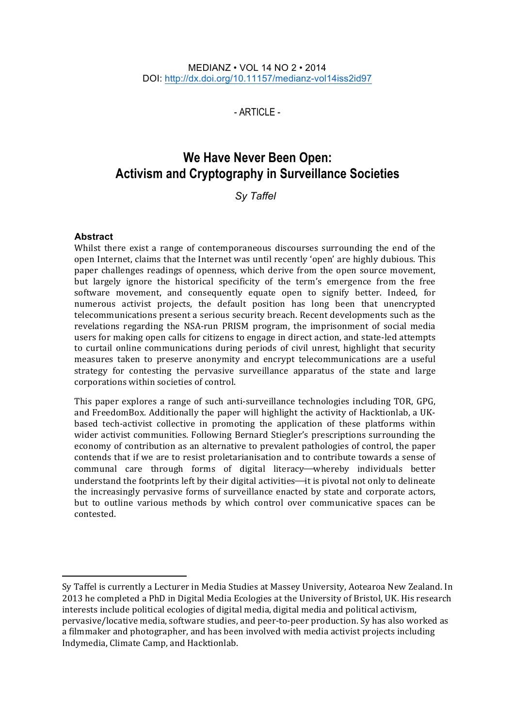#### MEDIANZ • VOL 14 NO 2 • 2014 DOI: http://dx.doi.org/10.11157/medianz-vol14iss2id97

 $-$  ARTICLE $-$ 

# **We Have Never Been Open: Activism and Cryptography in Surveillance Societies**

**Sv Taffel** 

#### **Abstract**

 

Whilst there exist a range of contemporaneous discourses surrounding the end of the open Internet, claims that the Internet was until recently 'open' are highly dubious. This paper challenges readings of openness, which derive from the open source movement, but largely ignore the historical specificity of the term's emergence from the free software movement, and consequently equate open to signify better. Indeed, for numerous activist projects, the default position has long been that unencrypted telecommunications present a serious security breach. Recent developments such as the revelations regarding the NSA-run PRISM program, the imprisonment of social media users for making open calls for citizens to engage in direct action, and state-led attempts to curtail online communications during periods of civil unrest, highlight that security measures taken to preserve anonymity and encrypt telecommunications are a useful strategy for contesting the pervasive surveillance apparatus of the state and large corporations within societies of control.

This paper explores a range of such anti-surveillance technologies including TOR, GPG, and FreedomBox. Additionally the paper will highlight the activity of Hacktionlab, a UKbased tech-activist collective in promoting the application of these platforms within wider activist communities. Following Bernard Stiegler's prescriptions surrounding the economy of contribution as an alternative to prevalent pathologies of control, the paper contends that if we are to resist proletarianisation and to contribute towards a sense of communal care through forms of digital literacy—whereby individuals better understand the footprints left by their digital activities—it is pivotal not only to delineate the increasingly pervasive forms of surveillance enacted by state and corporate actors, but to outline various methods by which control over communicative spaces can be contested. 

Sy Taffel is currently a Lecturer in Media Studies at Massey University, Aotearoa New Zealand. In 2013 he completed a PhD in Digital Media Ecologies at the University of Bristol, UK. His research interests include political ecologies of digital media, digital media and political activism, pervasive/locative media, software studies, and peer-to-peer production. Sy has also worked as a filmmaker and photographer, and has been involved with media activist projects including Indymedia, Climate Camp, and Hacktionlab.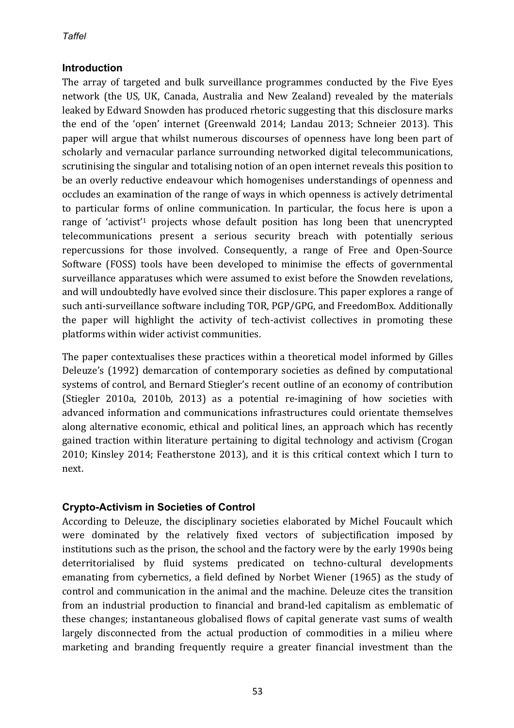## **Introduction**

The array of targeted and bulk surveillance programmes conducted by the Five Eyes network (the US, UK, Canada, Australia and New Zealand) revealed by the materials leaked by Edward Snowden has produced rhetoric suggesting that this disclosure marks the end of the 'open' internet (Greenwald 2014; Landau 2013; Schneier 2013). This paper will argue that whilst numerous discourses of openness have long been part of scholarly and vernacular parlance surrounding networked digital telecommunications, scrutinising the singular and totalising notion of an open internet reveals this position to be an overly reductive endeavour which homogenises understandings of openness and occludes an examination of the range of ways in which openness is actively detrimental to particular forms of online communication. In particular, the focus here is upon a range of 'activist'<sup>1</sup> projects whose default position has long been that unencrypted telecommunications present a serious security breach with potentially serious repercussions for those involved. Consequently, a range of Free and Open-Source Software (FOSS) tools have been developed to minimise the effects of governmental surveillance apparatuses which were assumed to exist before the Snowden revelations, and will undoubtedly have evolved since their disclosure. This paper explores a range of such anti-surveillance software including TOR, PGP/GPG, and FreedomBox. Additionally the paper will highlight the activity of tech-activist collectives in promoting these platforms within wider activist communities.

The paper contextualises these practices within a theoretical model informed by Gilles Deleuze's (1992) demarcation of contemporary societies as defined by computational systems of control, and Bernard Stiegler's recent outline of an economy of contribution (Stiegler 2010a, 2010b, 2013) as a potential re-imagining of how societies with advanced information and communications infrastructures could orientate themselves along alternative economic, ethical and political lines, an approach which has recently gained traction within literature pertaining to digital technology and activism (Crogan 2010; Kinsley 2014; Featherstone 2013), and it is this critical context which I turn to next.

# **Crypto-Activism in Societies of Control**

According to Deleuze, the disciplinary societies elaborated by Michel Foucault which were dominated by the relatively fixed vectors of subjectification imposed by institutions such as the prison, the school and the factory were by the early 1990s being deterritorialised by fluid systems predicated on techno-cultural developments emanating from cybernetics, a field defined by Norbet Wiener (1965) as the study of control and communication in the animal and the machine. Deleuze cites the transition from an industrial production to financial and brand-led capitalism as emblematic of these changes; instantaneous globalised flows of capital generate vast sums of wealth largely disconnected from the actual production of commodities in a milieu where marketing and branding frequently require a greater financial investment than the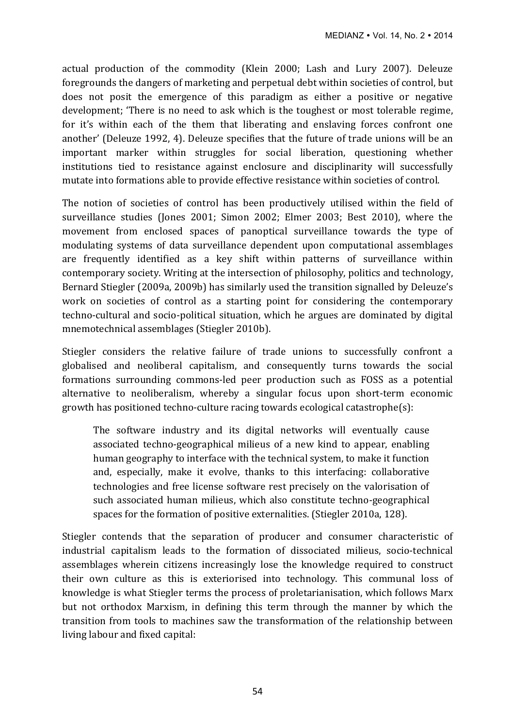actual production of the commodity (Klein 2000; Lash and Lury 2007). Deleuze foregrounds the dangers of marketing and perpetual debt within societies of control, but does not posit the emergence of this paradigm as either a positive or negative development; 'There is no need to ask which is the toughest or most tolerable regime, for it's within each of the them that liberating and enslaving forces confront one another' (Deleuze 1992, 4). Deleuze specifies that the future of trade unions will be an important marker within struggles for social liberation, questioning whether institutions tied to resistance against enclosure and disciplinarity will successfully mutate into formations able to provide effective resistance within societies of control.

The notion of societies of control has been productively utilised within the field of surveillance studies (Jones 2001; Simon 2002; Elmer 2003; Best 2010), where the movement from enclosed spaces of panoptical surveillance towards the type of modulating systems of data surveillance dependent upon computational assemblages are frequently identified as a key shift within patterns of surveillance within contemporary society. Writing at the intersection of philosophy, politics and technology, Bernard Stiegler (2009a, 2009b) has similarly used the transition signalled by Deleuze's work on societies of control as a starting point for considering the contemporary techno-cultural and socio-political situation, which he argues are dominated by digital mnemotechnical assemblages (Stiegler 2010b).

Stiegler considers the relative failure of trade unions to successfully confront a globalised and neoliberal capitalism, and consequently turns towards the social formations surrounding commons-led peer production such as FOSS as a potential alternative to neoliberalism, whereby a singular focus upon short-term economic growth has positioned techno-culture racing towards ecological catastrophe(s):

The software industry and its digital networks will eventually cause associated techno-geographical milieus of a new kind to appear, enabling human geography to interface with the technical system, to make it function and, especially, make it evolve, thanks to this interfacing: collaborative technologies and free license software rest precisely on the valorisation of such associated human milieus, which also constitute techno-geographical spaces for the formation of positive externalities. (Stiegler 2010a, 128).

Stiegler contends that the separation of producer and consumer characteristic of industrial capitalism leads to the formation of dissociated milieus, socio-technical assemblages wherein citizens increasingly lose the knowledge required to construct their own culture as this is exteriorised into technology. This communal loss of knowledge is what Stiegler terms the process of proletarianisation, which follows Marx but not orthodox Marxism, in defining this term through the manner by which the transition from tools to machines saw the transformation of the relationship between living labour and fixed capital: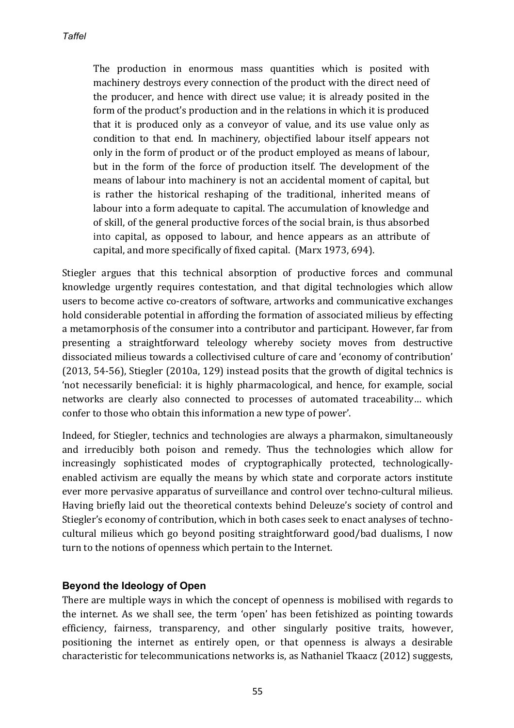The production in enormous mass quantities which is posited with machinery destroys every connection of the product with the direct need of the producer, and hence with direct use value; it is already posited in the form of the product's production and in the relations in which it is produced that it is produced only as a conveyor of value, and its use value only as condition to that end. In machinery, objectified labour itself appears not only in the form of product or of the product employed as means of labour, but in the form of the force of production itself. The development of the means of labour into machinery is not an accidental moment of capital, but is rather the historical reshaping of the traditional, inherited means of labour into a form adequate to capital. The accumulation of knowledge and of skill, of the general productive forces of the social brain, is thus absorbed into capital, as opposed to labour, and hence appears as an attribute of capital, and more specifically of fixed capital. (Marx 1973, 694).

Stiegler argues that this technical absorption of productive forces and communal knowledge urgently requires contestation, and that digital technologies which allow users to become active co-creators of software, artworks and communicative exchanges hold considerable potential in affording the formation of associated milieus by effecting a metamorphosis of the consumer into a contributor and participant. However, far from presenting a straightforward teleology whereby society moves from destructive dissociated milieus towards a collectivised culture of care and 'economy of contribution'  $(2013, 54-56)$ , Stiegler  $(2010a, 129)$  instead posits that the growth of digital technics is 'not necessarily beneficial: it is highly pharmacological, and hence, for example, social networks are clearly also connected to processes of automated traceability... which confer to those who obtain this information a new type of power'.

Indeed, for Stiegler, technics and technologies are always a pharmakon, simultaneously and irreducibly both poison and remedy. Thus the technologies which allow for increasingly sophisticated modes of cryptographically protected, technologicallyenabled activism are equally the means by which state and corporate actors institute ever more pervasive apparatus of surveillance and control over techno-cultural milieus. Having briefly laid out the theoretical contexts behind Deleuze's society of control and Stiegler's economy of contribution, which in both cases seek to enact analyses of technocultural milieus which go beyond positing straightforward good/bad dualisms, I now turn to the notions of openness which pertain to the Internet.

## **Beyond the Ideology of Open**

There are multiple ways in which the concept of openness is mobilised with regards to the internet. As we shall see, the term 'open' has been fetishized as pointing towards efficiency, fairness, transparency, and other singularly positive traits, however, positioning the internet as entirely open, or that openness is always a desirable characteristic for telecommunications networks is, as Nathaniel Tkaacz (2012) suggests,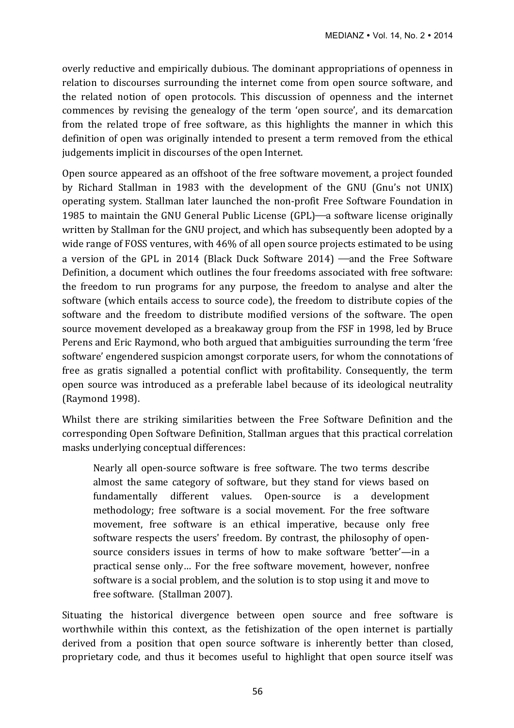overly reductive and empirically dubious. The dominant appropriations of openness in relation to discourses surrounding the internet come from open source software, and the related notion of open protocols. This discussion of openness and the internet commences by revising the genealogy of the term 'open source', and its demarcation from the related trope of free software, as this highlights the manner in which this definition of open was originally intended to present a term removed from the ethical judgements implicit in discourses of the open Internet.

Open source appeared as an offshoot of the free software movement, a project founded by Richard Stallman in 1983 with the development of the GNU (Gnu's not UNIX) operating system. Stallman later launched the non-profit Free Software Foundation in 1985 to maintain the GNU General Public License (GPL)—a software license originally written by Stallman for the GNU project, and which has subsequently been adopted by a wide range of FOSS ventures, with 46% of all open source projects estimated to be using a version of the GPL in 2014 (Black Duck Software  $2014$ ) —and the Free Software Definition, a document which outlines the four freedoms associated with free software: the freedom to run programs for any purpose, the freedom to analyse and alter the software (which entails access to source code), the freedom to distribute copies of the software and the freedom to distribute modified versions of the software. The open source movement developed as a breakaway group from the FSF in 1998, led by Bruce Perens and Eric Raymond, who both argued that ambiguities surrounding the term 'free software' engendered suspicion amongst corporate users, for whom the connotations of free as gratis signalled a potential conflict with profitability. Consequently, the term open source was introduced as a preferable label because of its ideological neutrality (Raymond 1998). 

Whilst there are striking similarities between the Free Software Definition and the corresponding Open Software Definition, Stallman argues that this practical correlation masks underlying conceptual differences:

Nearly all open-source software is free software. The two terms describe almost the same category of software, but they stand for views based on fundamentally different values. Open-source is a development methodology; free software is a social movement. For the free software movement, free software is an ethical imperative, because only free software respects the users' freedom. By contrast, the philosophy of opensource considers issues in terms of how to make software 'better'—in a practical sense only... For the free software movement, however, nonfree software is a social problem, and the solution is to stop using it and move to free software. (Stallman 2007).

Situating the historical divergence between open source and free software is worthwhile within this context, as the fetishization of the open internet is partially derived from a position that open source software is inherently better than closed, proprietary code, and thus it becomes useful to highlight that open source itself was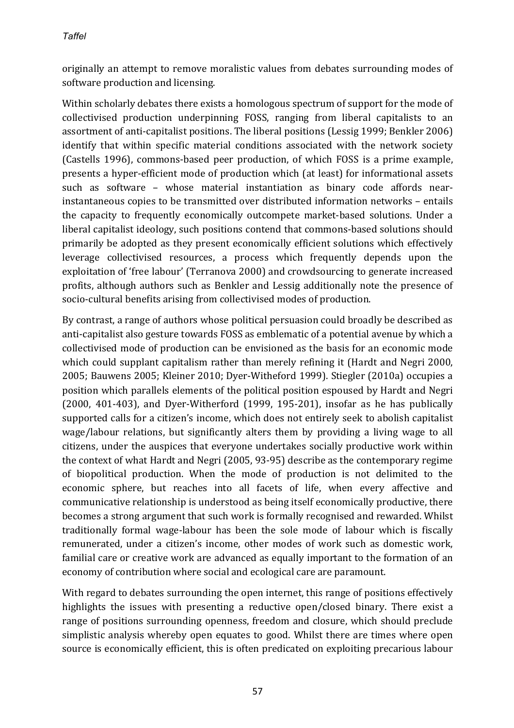originally an attempt to remove moralistic values from debates surrounding modes of software production and licensing.

Within scholarly debates there exists a homologous spectrum of support for the mode of collectivised production underpinning FOSS, ranging from liberal capitalists to an assortment of anti-capitalist positions. The liberal positions (Lessig 1999; Benkler 2006) identify that within specific material conditions associated with the network society (Castells 1996), commons-based peer production, of which FOSS is a prime example, presents a hyper-efficient mode of production which (at least) for informational assets such as software – whose material instantiation as binary code affords nearinstantaneous copies to be transmitted over distributed information networks – entails the capacity to frequently economically outcompete market-based solutions. Under a liberal capitalist ideology, such positions contend that commons-based solutions should primarily be adopted as they present economically efficient solutions which effectively leverage collectivised resources, a process which frequently depends upon the exploitation of 'free labour' (Terranova 2000) and crowdsourcing to generate increased profits, although authors such as Benkler and Lessig additionally note the presence of socio-cultural benefits arising from collectivised modes of production.

By contrast, a range of authors whose political persuasion could broadly be described as anti-capitalist also gesture towards FOSS as emblematic of a potential avenue by which a collectivised mode of production can be envisioned as the basis for an economic mode which could supplant capitalism rather than merely refining it (Hardt and Negri 2000, 2005; Bauwens 2005; Kleiner 2010; Dyer-Witheford 1999). Stiegler (2010a) occupies a position which parallels elements of the political position espoused by Hardt and Negri  $(2000, 401-403)$ , and Dyer-Witherford  $(1999, 195-201)$ , insofar as he has publically supported calls for a citizen's income, which does not entirely seek to abolish capitalist wage/labour relations, but significantly alters them by providing a living wage to all citizens, under the auspices that everyone undertakes socially productive work within the context of what Hardt and Negri  $(2005, 93-95)$  describe as the contemporary regime of biopolitical production. When the mode of production is not delimited to the economic sphere, but reaches into all facets of life, when every affective and communicative relationship is understood as being itself economically productive, there becomes a strong argument that such work is formally recognised and rewarded. Whilst traditionally formal wage-labour has been the sole mode of labour which is fiscally remunerated, under a citizen's income, other modes of work such as domestic work, familial care or creative work are advanced as equally important to the formation of an economy of contribution where social and ecological care are paramount.

With regard to debates surrounding the open internet, this range of positions effectively highlights the issues with presenting a reductive open/closed binary. There exist a range of positions surrounding openness, freedom and closure, which should preclude simplistic analysis whereby open equates to good. Whilst there are times where open source is economically efficient, this is often predicated on exploiting precarious labour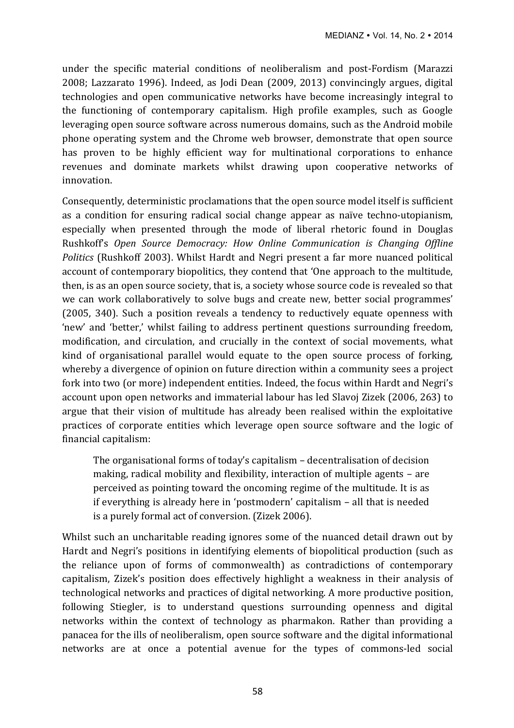under the specific material conditions of neoliberalism and post-Fordism (Marazzi 2008; Lazzarato 1996). Indeed, as Jodi Dean (2009, 2013) convincingly argues, digital technologies and open communicative networks have become increasingly integral to the functioning of contemporary capitalism. High profile examples, such as Google leveraging open source software across numerous domains, such as the Android mobile phone operating system and the Chrome web browser, demonstrate that open source has proven to be highly efficient way for multinational corporations to enhance revenues and dominate markets whilst drawing upon cooperative networks of innovation. 

Consequently, deterministic proclamations that the open source model itself is sufficient as a condition for ensuring radical social change appear as naïve techno-utopianism, especially when presented through the mode of liberal rhetoric found in Douglas Rushkoff's *Open Source Democracy: How Online Communication is Changing Offline Politics* (Rushkoff 2003). Whilst Hardt and Negri present a far more nuanced political account of contemporary biopolitics, they contend that 'One approach to the multitude, then, is as an open source society, that is, a society whose source code is revealed so that we can work collaboratively to solve bugs and create new, better social programmes' (2005, 340). Such a position reveals a tendency to reductively equate openness with 'new' and 'better,' whilst failing to address pertinent questions surrounding freedom, modification, and circulation, and crucially in the context of social movements, what kind of organisational parallel would equate to the open source process of forking. whereby a divergence of opinion on future direction within a community sees a project fork into two (or more) independent entities. Indeed, the focus within Hardt and Negri's account upon open networks and immaterial labour has led Slavoj Zizek (2006, 263) to argue that their vision of multitude has already been realised within the exploitative practices of corporate entities which leverage open source software and the logic of financial capitalism:

The organisational forms of today's capitalism  $-$  decentralisation of decision making, radical mobility and flexibility, interaction of multiple agents  $-$  are perceived as pointing toward the oncoming regime of the multitude. It is as if everything is already here in 'postmodern' capitalism  $-$  all that is needed is a purely formal act of conversion. (Zizek 2006).

Whilst such an uncharitable reading ignores some of the nuanced detail drawn out by Hardt and Negri's positions in identifying elements of biopolitical production (such as the reliance upon of forms of commonwealth) as contradictions of contemporary capitalism, Zizek's position does effectively highlight a weakness in their analysis of technological networks and practices of digital networking. A more productive position, following Stiegler, is to understand questions surrounding openness and digital networks within the context of technology as pharmakon. Rather than providing a panacea for the ills of neoliberalism, open source software and the digital informational networks are at once a potential avenue for the types of commons-led social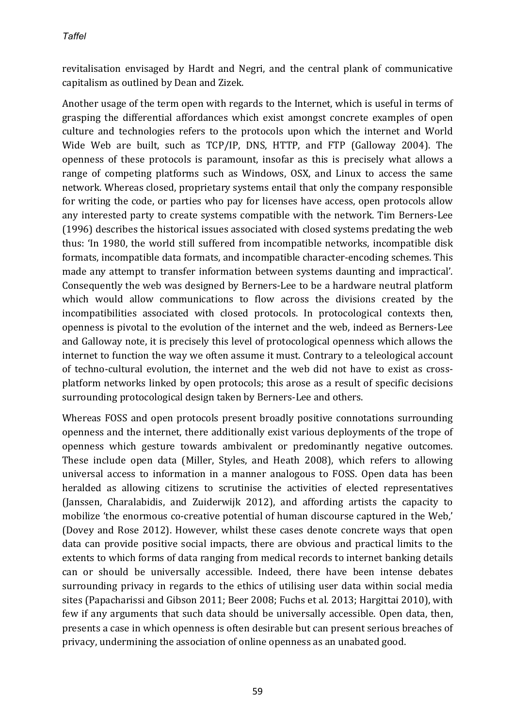revitalisation envisaged by Hardt and Negri, and the central plank of communicative capitalism as outlined by Dean and Zizek.

Another usage of the term open with regards to the Internet, which is useful in terms of grasping the differential affordances which exist amongst concrete examples of open culture and technologies refers to the protocols upon which the internet and World Wide Web are built, such as TCP/IP, DNS, HTTP, and FTP (Galloway 2004). The openness of these protocols is paramount, insofar as this is precisely what allows a range of competing platforms such as Windows, OSX, and Linux to access the same network. Whereas closed, proprietary systems entail that only the company responsible for writing the code, or parties who pay for licenses have access, open protocols allow any interested party to create systems compatible with the network. Tim Berners-Lee (1996) describes the historical issues associated with closed systems predating the web thus: 'In 1980, the world still suffered from incompatible networks, incompatible disk formats, incompatible data formats, and incompatible character-encoding schemes. This made any attempt to transfer information between systems daunting and impractical'. Consequently the web was designed by Berners-Lee to be a hardware neutral platform which would allow communications to flow across the divisions created by the incompatibilities associated with closed protocols. In protocological contexts then, openness is pivotal to the evolution of the internet and the web, indeed as Berners-Lee and Galloway note, it is precisely this level of protocological openness which allows the internet to function the way we often assume it must. Contrary to a teleological account of techno-cultural evolution, the internet and the web did not have to exist as crossplatform networks linked by open protocols; this arose as a result of specific decisions surrounding protocological design taken by Berners-Lee and others.

Whereas FOSS and open protocols present broadly positive connotations surrounding openness and the internet, there additionally exist various deployments of the trope of openness which gesture towards ambivalent or predominantly negative outcomes. These include open data (Miller, Styles, and Heath 2008), which refers to allowing universal access to information in a manner analogous to FOSS. Open data has been heralded as allowing citizens to scrutinise the activities of elected representatives (Janssen, Charalabidis, and Zuiderwijk 2012), and affording artists the capacity to mobilize 'the enormous co-creative potential of human discourse captured in the Web,' (Dovey and Rose 2012). However, whilst these cases denote concrete ways that open data can provide positive social impacts, there are obvious and practical limits to the extents to which forms of data ranging from medical records to internet banking details can or should be universally accessible. Indeed, there have been intense debates surrounding privacy in regards to the ethics of utilising user data within social media sites (Papacharissi and Gibson 2011; Beer 2008; Fuchs et al. 2013; Hargittai 2010), with few if any arguments that such data should be universally accessible. Open data, then, presents a case in which openness is often desirable but can present serious breaches of privacy, undermining the association of online openness as an unabated good.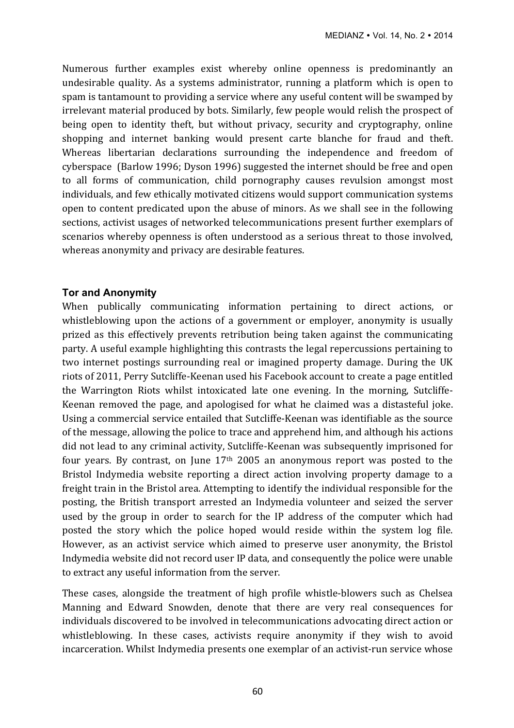Numerous further examples exist whereby online openness is predominantly an undesirable quality. As a systems administrator, running a platform which is open to spam is tantamount to providing a service where any useful content will be swamped by irrelevant material produced by bots. Similarly, few people would relish the prospect of being open to identity theft, but without privacy, security and cryptography, online shopping and internet banking would present carte blanche for fraud and theft. Whereas libertarian declarations surrounding the independence and freedom of cyberspace (Barlow 1996; Dyson 1996) suggested the internet should be free and open to all forms of communication, child pornography causes revulsion amongst most individuals, and few ethically motivated citizens would support communication systems open to content predicated upon the abuse of minors. As we shall see in the following sections, activist usages of networked telecommunications present further exemplars of scenarios whereby openness is often understood as a serious threat to those involved, whereas anonymity and privacy are desirable features.

#### **Tor and Anonymity**

When publically communicating information pertaining to direct actions, or whistleblowing upon the actions of a government or employer, anonymity is usually prized as this effectively prevents retribution being taken against the communicating party. A useful example highlighting this contrasts the legal repercussions pertaining to two internet postings surrounding real or imagined property damage. During the UK riots of 2011, Perry Sutcliffe-Keenan used his Facebook account to create a page entitled the Warrington Riots whilst intoxicated late one evening. In the morning, Sutcliffe-Keenan removed the page, and apologised for what he claimed was a distasteful joke. Using a commercial service entailed that Sutcliffe-Keenan was identifiable as the source of the message, allowing the police to trace and apprehend him, and although his actions did not lead to any criminal activity, Sutcliffe-Keenan was subsequently imprisoned for four vears. By contrast, on June  $17<sup>th</sup>$  2005 an anonymous report was posted to the Bristol Indymedia website reporting a direct action involving property damage to a freight train in the Bristol area. Attempting to identify the individual responsible for the posting, the British transport arrested an Indymedia volunteer and seized the server used by the group in order to search for the IP address of the computer which had posted the story which the police hoped would reside within the system log file. However, as an activist service which aimed to preserve user anonymity, the Bristol Indymedia website did not record user IP data, and consequently the police were unable to extract any useful information from the server.

These cases, alongside the treatment of high profile whistle-blowers such as Chelsea Manning and Edward Snowden, denote that there are very real consequences for individuals discovered to be involved in telecommunications advocating direct action or whistleblowing. In these cases, activists require anonymity if they wish to avoid incarceration. Whilst Indymedia presents one exemplar of an activist-run service whose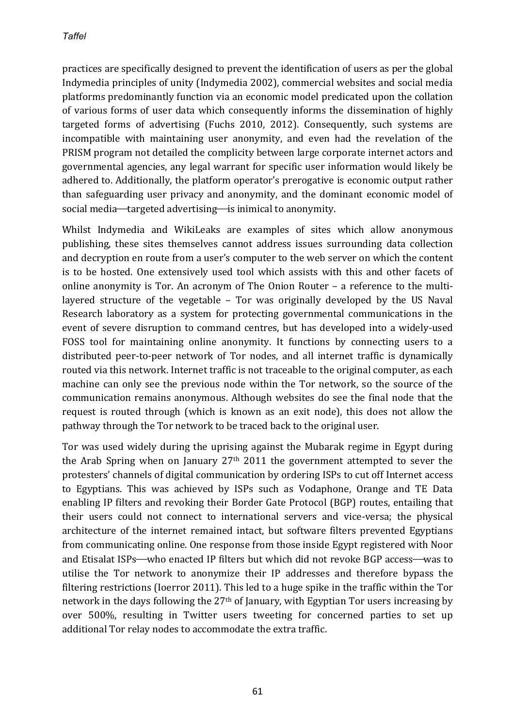practices are specifically designed to prevent the identification of users as per the global Indymedia principles of unity (Indymedia 2002), commercial websites and social media platforms predominantly function via an economic model predicated upon the collation of various forms of user data which consequently informs the dissemination of highly targeted forms of advertising (Fuchs 2010, 2012). Consequently, such systems are incompatible with maintaining user anonymity, and even had the revelation of the PRISM program not detailed the complicity between large corporate internet actors and governmental agencies, any legal warrant for specific user information would likely be adhered to. Additionally, the platform operator's prerogative is economic output rather than safeguarding user privacy and anonymity, and the dominant economic model of social media—targeted advertising—is inimical to anonymity.

Whilst Indymedia and WikiLeaks are examples of sites which allow anonymous publishing, these sites themselves cannot address issues surrounding data collection and decryption en route from a user's computer to the web server on which the content is to be hosted. One extensively used tool which assists with this and other facets of online anonymity is Tor. An acronym of The Onion Router – a reference to the multilayered structure of the vegetable  $-$  Tor was originally developed by the US Naval Research laboratory as a system for protecting governmental communications in the event of severe disruption to command centres, but has developed into a widely-used FOSS tool for maintaining online anonymity. It functions by connecting users to a distributed peer-to-peer network of Tor nodes, and all internet traffic is dynamically routed via this network. Internet traffic is not traceable to the original computer, as each machine can only see the previous node within the Tor network, so the source of the communication remains anonymous. Although websites do see the final node that the request is routed through (which is known as an exit node), this does not allow the pathway through the Tor network to be traced back to the original user.

Tor was used widely during the uprising against the Mubarak regime in Egypt during the Arab Spring when on January  $27<sup>th</sup>$  2011 the government attempted to sever the protesters' channels of digital communication by ordering ISPs to cut off Internet access to Egyptians. This was achieved by ISPs such as Vodaphone, Orange and TE Data enabling IP filters and revoking their Border Gate Protocol (BGP) routes, entailing that their users could not connect to international servers and vice-versa; the physical architecture of the internet remained intact, but software filters prevented Egyptians from communicating online. One response from those inside Egypt registered with Noor and Etisalat ISPs—who enacted IP filters but which did not revoke BGP access—was to utilise the Tor network to anonymize their IP addresses and therefore bypass the filtering restrictions (Ioerror 2011). This led to a huge spike in the traffic within the Tor network in the days following the  $27<sup>th</sup>$  of January, with Egyptian Tor users increasing by over 500%, resulting in Twitter users tweeting for concerned parties to set up additional Tor relay nodes to accommodate the extra traffic.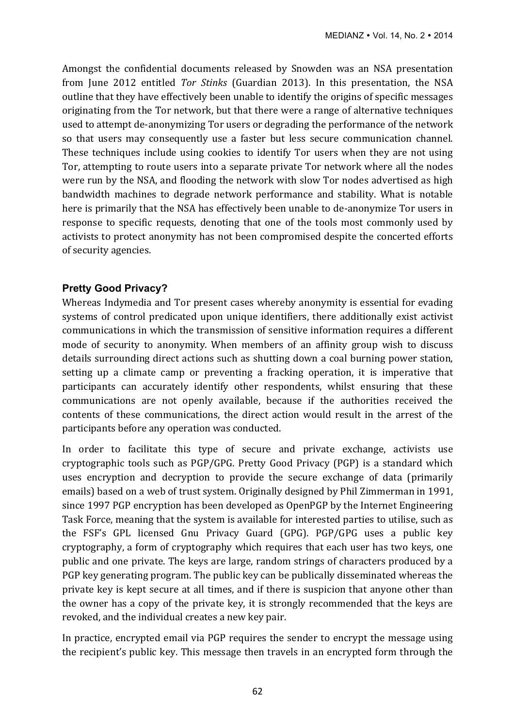Amongst the confidential documents released by Snowden was an NSA presentation from June 2012 entitled *Tor Stinks* (Guardian 2013). In this presentation, the NSA outline that they have effectively been unable to identify the origins of specific messages originating from the Tor network, but that there were a range of alternative techniques used to attempt de-anonymizing Tor users or degrading the performance of the network so that users may consequently use a faster but less secure communication channel. These techniques include using cookies to identify Tor users when they are not using Tor, attempting to route users into a separate private Tor network where all the nodes were run by the NSA, and flooding the network with slow Tor nodes advertised as high bandwidth machines to degrade network performance and stability. What is notable here is primarily that the NSA has effectively been unable to de-anonymize Tor users in response to specific requests, denoting that one of the tools most commonly used by activists to protect anonymity has not been compromised despite the concerted efforts of security agencies.

## **Pretty Good Privacy?**

Whereas Indymedia and Tor present cases whereby anonymity is essential for evading systems of control predicated upon unique identifiers, there additionally exist activist communications in which the transmission of sensitive information requires a different mode of security to anonymity. When members of an affinity group wish to discuss details surrounding direct actions such as shutting down a coal burning power station, setting up a climate camp or preventing a fracking operation, it is imperative that participants can accurately identify other respondents, whilst ensuring that these communications are not openly available, because if the authorities received the contents of these communications, the direct action would result in the arrest of the participants before any operation was conducted.

In order to facilitate this type of secure and private exchange, activists use cryptographic tools such as PGP/GPG. Pretty Good Privacy (PGP) is a standard which uses encryption and decryption to provide the secure exchange of data (primarily emails) based on a web of trust system. Originally designed by Phil Zimmerman in 1991, since 1997 PGP encryption has been developed as OpenPGP by the Internet Engineering Task Force, meaning that the system is available for interested parties to utilise, such as the FSF's GPL licensed Gnu Privacy Guard (GPG). PGP/GPG uses a public key cryptography, a form of cryptography which requires that each user has two keys, one public and one private. The keys are large, random strings of characters produced by a PGP key generating program. The public key can be publically disseminated whereas the private key is kept secure at all times, and if there is suspicion that anyone other than the owner has a copy of the private key, it is strongly recommended that the keys are revoked, and the individual creates a new key pair.

In practice, encrypted email via PGP requires the sender to encrypt the message using the recipient's public key. This message then travels in an encrypted form through the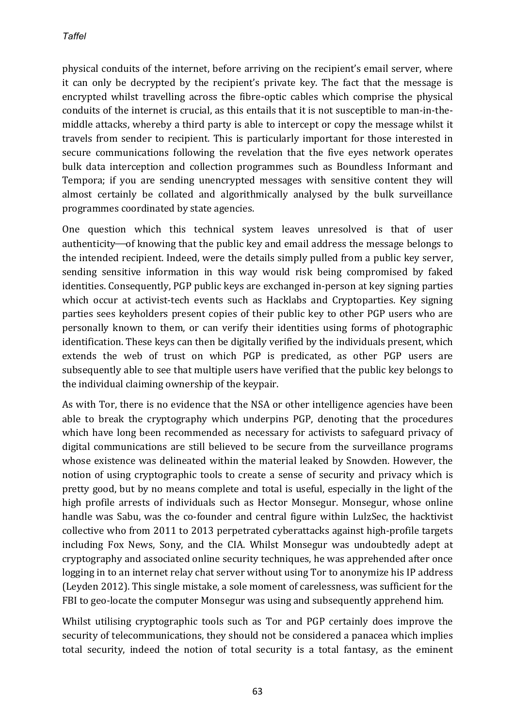physical conduits of the internet, before arriving on the recipient's email server, where it can only be decrypted by the recipient's private key. The fact that the message is encrypted whilst travelling across the fibre-optic cables which comprise the physical conduits of the internet is crucial, as this entails that it is not susceptible to man-in-themiddle attacks, whereby a third party is able to intercept or copy the message whilst it travels from sender to recipient. This is particularly important for those interested in secure communications following the revelation that the five eyes network operates bulk data interception and collection programmes such as Boundless Informant and Tempora; if you are sending unencrypted messages with sensitive content they will almost certainly be collated and algorithmically analysed by the bulk surveillance programmes coordinated by state agencies.

One question which this technical system leaves unresolved is that of user authenticity—of knowing that the public key and email address the message belongs to the intended recipient. Indeed, were the details simply pulled from a public key server, sending sensitive information in this way would risk being compromised by faked identities. Consequently, PGP public keys are exchanged in-person at key signing parties which occur at activist-tech events such as Hacklabs and Cryptoparties. Key signing parties sees keyholders present copies of their public key to other PGP users who are personally known to them, or can verify their identities using forms of photographic identification. These keys can then be digitally verified by the individuals present, which extends the web of trust on which PGP is predicated, as other PGP users are subsequently able to see that multiple users have verified that the public key belongs to the individual claiming ownership of the keypair.

As with Tor, there is no evidence that the NSA or other intelligence agencies have been able to break the cryptography which underpins PGP, denoting that the procedures which have long been recommended as necessary for activists to safeguard privacy of digital communications are still believed to be secure from the surveillance programs whose existence was delineated within the material leaked by Snowden. However, the notion of using cryptographic tools to create a sense of security and privacy which is pretty good, but by no means complete and total is useful, especially in the light of the high profile arrests of individuals such as Hector Monsegur. Monsegur, whose online handle was Sabu, was the co-founder and central figure within LulzSec, the hacktivist collective who from 2011 to 2013 perpetrated cyberattacks against high-profile targets including Fox News, Sony, and the CIA. Whilst Monsegur was undoubtedly adept at cryptography and associated online security techniques, he was apprehended after once logging in to an internet relay chat server without using Tor to anonymize his IP address (Leyden 2012). This single mistake, a sole moment of carelessness, was sufficient for the FBI to geo-locate the computer Monsegur was using and subsequently apprehend him.

Whilst utilising cryptographic tools such as Tor and PGP certainly does improve the security of telecommunications, they should not be considered a panacea which implies total security, indeed the notion of total security is a total fantasy, as the eminent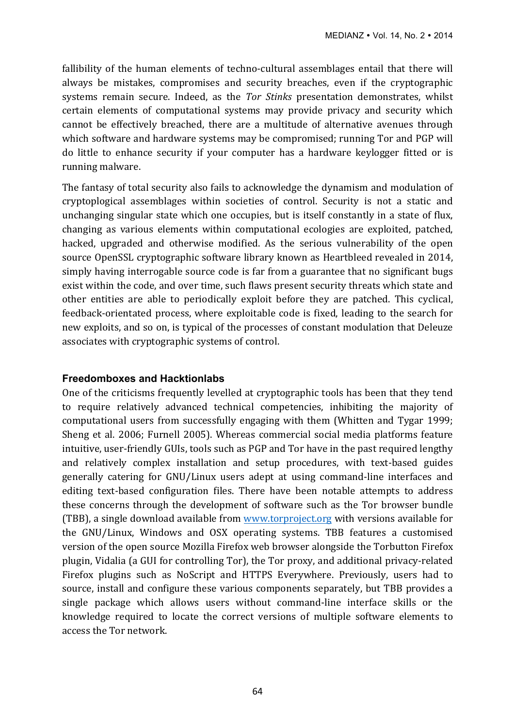fallibility of the human elements of techno-cultural assemblages entail that there will always be mistakes, compromises and security breaches, even if the cryptographic systems remain secure. Indeed, as the *Tor Stinks* presentation demonstrates, whilst certain elements of computational systems may provide privacy and security which cannot be effectively breached, there are a multitude of alternative avenues through which software and hardware systems may be compromised; running Tor and PGP will do little to enhance security if your computer has a hardware keylogger fitted or is running malware.

The fantasy of total security also fails to acknowledge the dynamism and modulation of cryptoplogical assemblages within societies of control. Security is not a static and unchanging singular state which one occupies, but is itself constantly in a state of flux, changing as various elements within computational ecologies are exploited, patched, hacked, upgraded and otherwise modified. As the serious vulnerability of the open source OpenSSL cryptographic software library known as Heartbleed revealed in 2014, simply having interrogable source code is far from a guarantee that no significant bugs exist within the code, and over time, such flaws present security threats which state and other entities are able to periodically exploit before they are patched. This cyclical, feedback-orientated process, where exploitable code is fixed, leading to the search for new exploits, and so on, is typical of the processes of constant modulation that Deleuze associates with cryptographic systems of control.

#### **Freedomboxes and Hacktionlabs**

One of the criticisms frequently levelled at cryptographic tools has been that they tend to require relatively advanced technical competencies, inhibiting the majority of computational users from successfully engaging with them (Whitten and Tygar 1999; Sheng et al. 2006; Furnell 2005). Whereas commercial social media platforms feature intuitive, user-friendly GUIs, tools such as PGP and Tor have in the past required lengthy and relatively complex installation and setup procedures, with text-based guides generally catering for GNU/Linux users adept at using command-line interfaces and editing text-based configuration files. There have been notable attempts to address these concerns through the development of software such as the Tor browser bundle (TBB), a single download available from www.torproject.org with versions available for the GNU/Linux, Windows and OSX operating systems. TBB features a customised version of the open source Mozilla Firefox web browser alongside the Torbutton Firefox plugin, Vidalia (a GUI for controlling Tor), the Tor proxy, and additional privacy-related Firefox plugins such as NoScript and HTTPS Everywhere. Previously, users had to source, install and configure these various components separately, but TBB provides a single package which allows users without command-line interface skills or the knowledge required to locate the correct versions of multiple software elements to access the Tor network.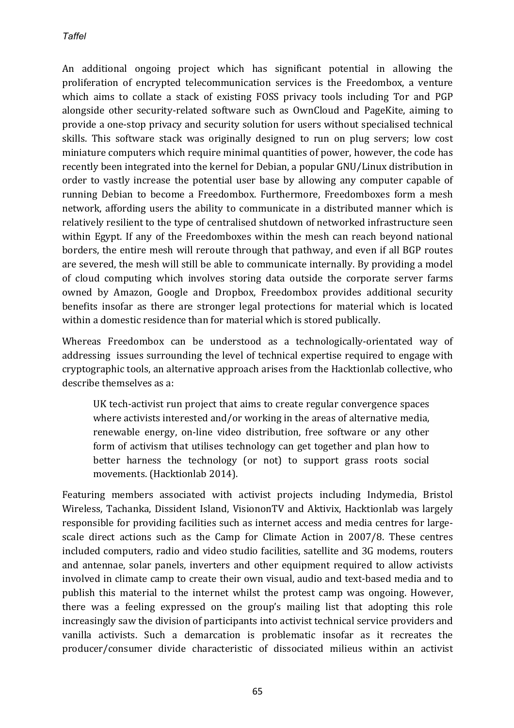An additional ongoing project which has significant potential in allowing the proliferation of encrypted telecommunication services is the Freedombox, a venture which aims to collate a stack of existing FOSS privacy tools including Tor and PGP alongside other security-related software such as OwnCloud and PageKite, aiming to provide a one-stop privacy and security solution for users without specialised technical skills. This software stack was originally designed to run on plug servers; low cost miniature computers which require minimal quantities of power, however, the code has recently been integrated into the kernel for Debian, a popular GNU/Linux distribution in order to vastly increase the potential user base by allowing any computer capable of running Debian to become a Freedombox. Furthermore, Freedomboxes form a mesh network, affording users the ability to communicate in a distributed manner which is relatively resilient to the type of centralised shutdown of networked infrastructure seen within Egypt. If any of the Freedomboxes within the mesh can reach beyond national borders, the entire mesh will reroute through that pathway, and even if all BGP routes are severed, the mesh will still be able to communicate internally. By providing a model of cloud computing which involves storing data outside the corporate server farms owned by Amazon, Google and Dropbox, Freedombox provides additional security benefits insofar as there are stronger legal protections for material which is located within a domestic residence than for material which is stored publically.

Whereas Freedombox can be understood as a technologically-orientated way of addressing issues surrounding the level of technical expertise required to engage with cryptographic tools, an alternative approach arises from the Hacktionlab collective, who describe themselves as a:

UK tech-activist run project that aims to create regular convergence spaces where activists interested and/or working in the areas of alternative media, renewable energy, on-line video distribution, free software or any other form of activism that utilises technology can get together and plan how to better harness the technology (or not) to support grass roots social movements. (Hacktionlab 2014).

Featuring members associated with activist projects including Indymedia, Bristol Wireless, Tachanka, Dissident Island, VisiononTV and Aktivix, Hacktionlab was largely responsible for providing facilities such as internet access and media centres for largescale direct actions such as the Camp for Climate Action in 2007/8. These centres included computers, radio and video studio facilities, satellite and 3G modems, routers and antennae, solar panels, inverters and other equipment required to allow activists involved in climate camp to create their own visual, audio and text-based media and to publish this material to the internet whilst the protest camp was ongoing. However, there was a feeling expressed on the group's mailing list that adopting this role increasingly saw the division of participants into activist technical service providers and vanilla activists. Such a demarcation is problematic insofar as it recreates the producer/consumer divide characteristic of dissociated milieus within an activist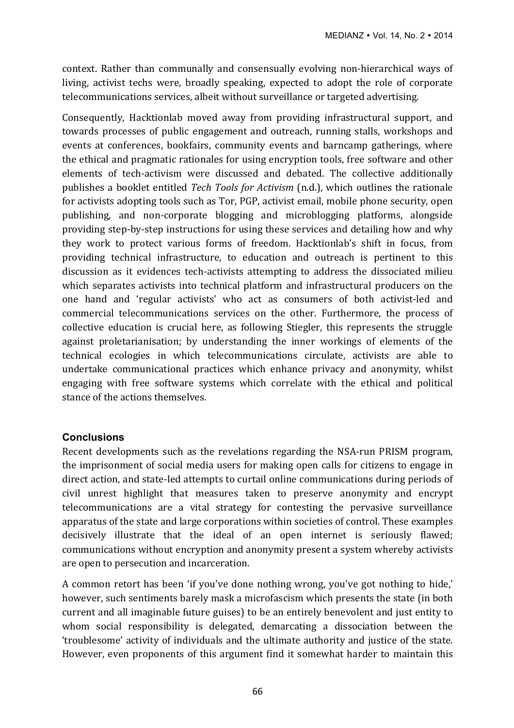context. Rather than communally and consensually evolving non-hierarchical ways of living, activist techs were, broadly speaking, expected to adopt the role of corporate telecommunications services, albeit without surveillance or targeted advertising.

Consequently, Hacktionlab moved away from providing infrastructural support, and towards processes of public engagement and outreach, running stalls, workshops and events at conferences, bookfairs, community events and barncamp gatherings, where the ethical and pragmatic rationales for using encryption tools, free software and other elements of tech-activism were discussed and debated. The collective additionally publishes a booklet entitled *Tech Tools for Activism* (n.d.), which outlines the rationale for activists adopting tools such as Tor, PGP, activist email, mobile phone security, open publishing, and non-corporate blogging and microblogging platforms, alongside providing step-by-step instructions for using these services and detailing how and why they work to protect various forms of freedom. Hacktionlab's shift in focus, from providing technical infrastructure, to education and outreach is pertinent to this discussion as it evidences tech-activists attempting to address the dissociated milieu which separates activists into technical platform and infrastructural producers on the one hand and 'regular activists' who act as consumers of both activist-led and commercial telecommunications services on the other. Furthermore, the process of collective education is crucial here, as following Stiegler, this represents the struggle against proletarianisation; by understanding the inner workings of elements of the technical ecologies in which telecommunications circulate, activists are able to undertake communicational practices which enhance privacy and anonymity, whilst engaging with free software systems which correlate with the ethical and political stance of the actions themselves.

## **Conclusions**

Recent developments such as the revelations regarding the NSA-run PRISM program, the imprisonment of social media users for making open calls for citizens to engage in direct action, and state-led attempts to curtail online communications during periods of civil unrest highlight that measures taken to preserve anonymity and encrypt telecommunications are a vital strategy for contesting the pervasive surveillance apparatus of the state and large corporations within societies of control. These examples decisively illustrate that the ideal of an open internet is seriously flawed; communications without encryption and anonymity present a system whereby activists are open to persecution and incarceration.

A common retort has been 'if you've done nothing wrong, you've got nothing to hide,' however, such sentiments barely mask a microfascism which presents the state (in both current and all imaginable future guises) to be an entirely benevolent and just entity to whom social responsibility is delegated, demarcating a dissociation between the 'troublesome' activity of individuals and the ultimate authority and justice of the state. However, even proponents of this argument find it somewhat harder to maintain this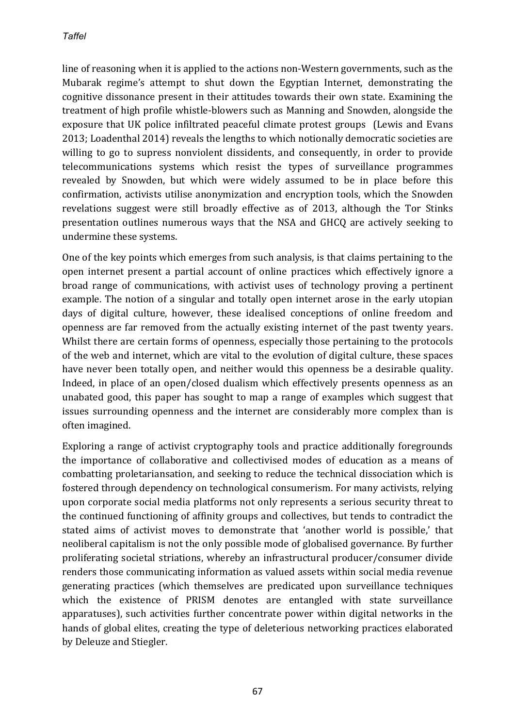line of reasoning when it is applied to the actions non-Western governments, such as the Mubarak regime's attempt to shut down the Egyptian Internet, demonstrating the cognitive dissonance present in their attitudes towards their own state. Examining the treatment of high profile whistle-blowers such as Manning and Snowden, alongside the exposure that UK police infiltrated peaceful climate protest groups (Lewis and Evans 2013; Loadenthal 2014) reveals the lengths to which notionally democratic societies are willing to go to supress nonviolent dissidents, and consequently, in order to provide telecommunications systems which resist the types of surveillance programmes revealed by Snowden, but which were widely assumed to be in place before this confirmation, activists utilise anonymization and encryption tools, which the Snowden revelations suggest were still broadly effective as of 2013, although the Tor Stinks presentation outlines numerous ways that the NSA and GHCQ are actively seeking to undermine these systems.

One of the key points which emerges from such analysis, is that claims pertaining to the open internet present a partial account of online practices which effectively ignore a broad range of communications, with activist uses of technology proving a pertinent example. The notion of a singular and totally open internet arose in the early utopian days of digital culture, however, these idealised conceptions of online freedom and openness are far removed from the actually existing internet of the past twenty years. Whilst there are certain forms of openness, especially those pertaining to the protocols of the web and internet, which are vital to the evolution of digital culture, these spaces have never been totally open, and neither would this openness be a desirable quality. Indeed, in place of an open/closed dualism which effectively presents openness as an unabated good, this paper has sought to map a range of examples which suggest that issues surrounding openness and the internet are considerably more complex than is often imagined.

Exploring a range of activist cryptography tools and practice additionally foregrounds the importance of collaborative and collectivised modes of education as a means of combatting proletariansation, and seeking to reduce the technical dissociation which is fostered through dependency on technological consumerism. For many activists, relying upon corporate social media platforms not only represents a serious security threat to the continued functioning of affinity groups and collectives, but tends to contradict the stated aims of activist moves to demonstrate that 'another world is possible,' that neoliberal capitalism is not the only possible mode of globalised governance. By further proliferating societal striations, whereby an infrastructural producer/consumer divide renders those communicating information as valued assets within social media revenue generating practices (which themselves are predicated upon surveillance techniques which the existence of PRISM denotes are entangled with state surveillance apparatuses), such activities further concentrate power within digital networks in the hands of global elites, creating the type of deleterious networking practices elaborated by Deleuze and Stiegler.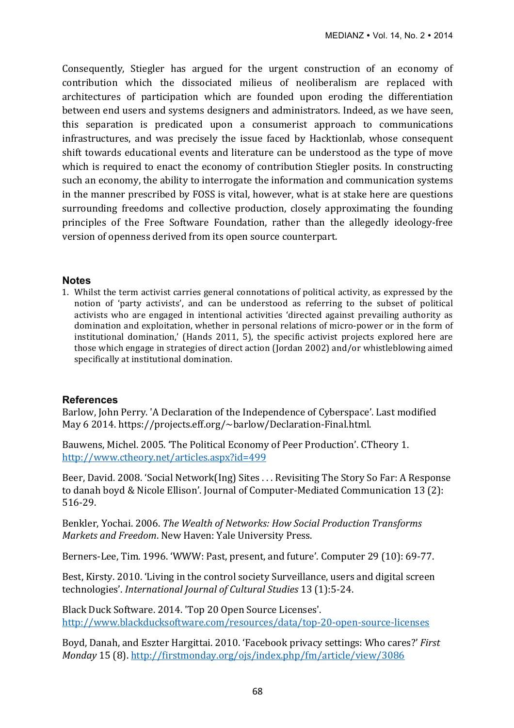Consequently, Stiegler has argued for the urgent construction of an economy of contribution which the dissociated milieus of neoliberalism are replaced with architectures of participation which are founded upon eroding the differentiation between end users and systems designers and administrators. Indeed, as we have seen, this separation is predicated upon a consumerist approach to communications infrastructures, and was precisely the issue faced by Hacktionlab, whose consequent shift towards educational events and literature can be understood as the type of move which is required to enact the economy of contribution Stiegler posits. In constructing such an economy, the ability to interrogate the information and communication systems in the manner prescribed by FOSS is vital, however, what is at stake here are questions surrounding freedoms and collective production, closely approximating the founding principles of the Free Software Foundation, rather than the allegedly ideology-free version of openness derived from its open source counterpart.

#### **Notes**

1. Whilst the term activist carries general connotations of political activity, as expressed by the notion of 'party activists', and can be understood as referring to the subset of political activists who are engaged in intentional activities 'directed against prevailing authority as domination and exploitation, whether in personal relations of micro-power or in the form of institutional domination,' (Hands 2011, 5), the specific activist projects explored here are those which engage in strategies of direct action (Jordan 2002) and/or whistleblowing aimed specifically at institutional domination.

#### **References**

Barlow, John Perry. 'A Declaration of the Independence of Cyberspace'. Last modified May 6 2014. https://projects.eff.org/~barlow/Declaration-Final.html.

Bauwens, Michel. 2005. 'The Political Economy of Peer Production'. CTheory 1. http://www.ctheory.net/articles.aspx?id=499

Beer, David. 2008. 'Social Network(Ing) Sites . . . Revisiting The Story So Far: A Response to danah boyd & Nicole Ellison'. Journal of Computer-Mediated Communication 13 (2): 516-29.

Benkler, Yochai. 2006. *The Wealth of Networks: How Social Production Transforms Markets and Freedom.* New Haven: Yale University Press.

Berners-Lee, Tim. 1996. 'WWW: Past, present, and future'. Computer 29 (10): 69-77.

Best, Kirsty, 2010. 'Living in the control society Surveillance, users and digital screen technologies'. *International Journal of Cultural Studies* 13 (1):5-24.

Black Duck Software. 2014. 'Top 20 Open Source Licenses'. http://www.blackducksoftware.com/resources/data/top-20-open-source-licenses

Boyd, Danah, and Eszter Hargittai. 2010. 'Facebook privacy settings: Who cares?' *First Monday* 15 (8). http://firstmonday.org/ojs/index.php/fm/article/view/3086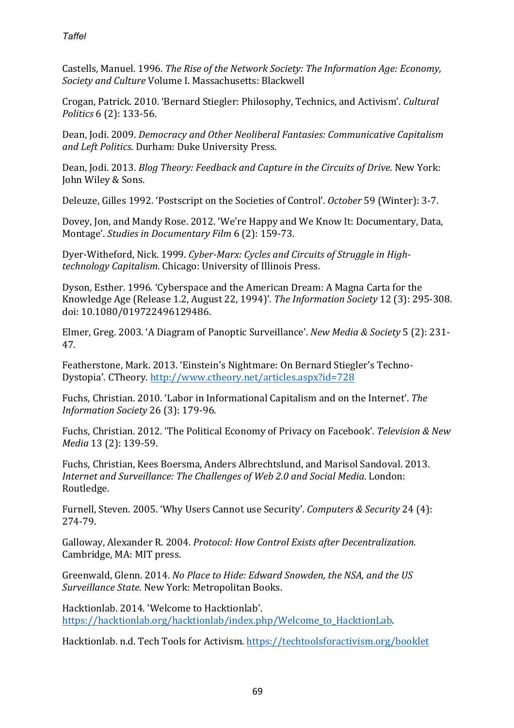Castells, Manuel. 1996. *The Rise of the Network Society: The Information Age: Economy*, Society and Culture Volume I. Massachusetts: Blackwell

Crogan, Patrick. 2010. 'Bernard Stiegler: Philosophy, Technics, and Activism'. *Cultural Politics* 6 (2): 133-56.

Dean, Jodi. 2009. *Democracy and Other Neoliberal Fantasies: Communicative Capitalism* and Left Politics. Durham: Duke University Press.

Dean, Jodi. 2013. *Blog Theory: Feedback and Capture in the Circuits of Drive*. New York: John Wiley & Sons.

Deleuze, Gilles 1992. 'Postscript on the Societies of Control'. October 59 (Winter): 3-7.

Dovey, Jon, and Mandy Rose. 2012. 'We're Happy and We Know It: Documentary, Data, Montage'. *Studies in Documentary Film* 6 (2): 159-73.

Dyer-Witheford, Nick. 1999. Cyber-Marx: Cycles and Circuits of Struggle in High*technology Capitalism.* Chicago: University of Illinois Press.

Dyson, Esther. 1996. 'Cyberspace and the American Dream: A Magna Carta for the Knowledge Age (Release 1.2, August 22, 1994)'. *The Information Society* 12 (3): 295-308. doi: 10.1080/019722496129486.

Elmer, Greg. 2003. 'A Diagram of Panoptic Surveillance'. *New Media & Society* 5 (2): 231-47.

Featherstone, Mark. 2013. 'Einstein's Nightmare: On Bernard Stiegler's Techno-Dystopia'. CTheory. http://www.ctheory.net/articles.aspx?id=728

Fuchs, Christian. 2010. 'Labor in Informational Capitalism and on the Internet'. The *Information Society* 26 (3): 179-96.

Fuchs, Christian. 2012. 'The Political Economy of Privacy on Facebook'. Television & New *Media* 13 (2): 139-59.

Fuchs, Christian, Kees Boersma, Anders Albrechtslund, and Marisol Sandoval. 2013. *Internet and Surveillance: The Challenges of Web 2.0 and Social Media.* London: Routledge.

Furnell, Steven. 2005. 'Why Users Cannot use Security'. *Computers & Security* 24 (4): 274-79.

Galloway, Alexander R. 2004. *Protocol: How Control Exists after Decentralization.* Cambridge, MA: MIT press.

Greenwald, Glenn. 2014. *No Place to Hide: Edward Snowden, the NSA, and the US Surveillance State*. New York: Metropolitan Books.

Hacktionlab. 2014. 'Welcome to Hacktionlab'. https://hacktionlab.org/hacktionlab/index.php/Welcome\_to\_HacktionLab.

Hacktionlab. n.d. Tech Tools for Activism. https://techtoolsforactivism.org/booklet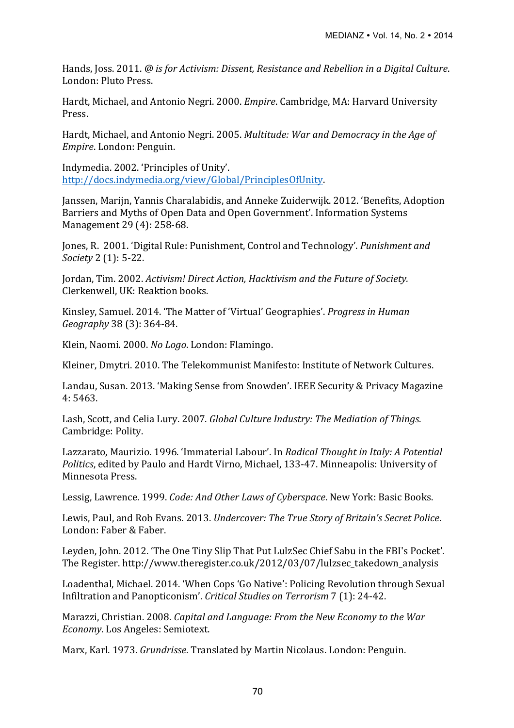Hands, Joss. 2011. @ is for Activism: Dissent, Resistance and Rebellion in a Digital Culture. London: Pluto Press.

Hardt, Michael, and Antonio Negri. 2000. *Empire*. Cambridge, MA: Harvard University Press.

Hardt, Michael, and Antonio Negri. 2005. *Multitude: War and Democracy in the Age of Empire.* London: Penguin.

Indymedia. 2002. 'Principles of Unity'. http://docs.indymedia.org/view/Global/PrinciplesOfUnity. 

Janssen, Marijn, Yannis Charalabidis, and Anneke Zuiderwijk. 2012. 'Benefits, Adoption Barriers and Myths of Open Data and Open Government'. Information Systems Management 29 (4): 258-68.

Jones, R. 2001. 'Digital Rule: Punishment, Control and Technology'. *Punishment and Society* 2 (1): 5-22.

Jordan, Tim. 2002. *Activism! Direct Action, Hacktivism and the Future of Society.* Clerkenwell, UK: Reaktion books.

Kinsley, Samuel. 2014. 'The Matter of 'Virtual' Geographies'. *Progress in Human Geography* 38 (3): 364-84.

Klein, Naomi. 2000. No Logo. London: Flamingo.

Kleiner, Dmytri. 2010. The Telekommunist Manifesto: Institute of Network Cultures.

Landau, Susan. 2013. 'Making Sense from Snowden'. IEEE Security & Privacy Magazine 4: 5463.

Lash, Scott, and Celia Lury. 2007. *Global Culture Industry: The Mediation of Things.* Cambridge: Polity.

Lazzarato, Maurizio. 1996. 'Immaterial Labour'. In *Radical Thought in Italy: A Potential Politics*, edited by Paulo and Hardt Virno, Michael, 133-47. Minneapolis: University of Minnesota Press.

Lessig, Lawrence. 1999. *Code: And Other Laws of Cyberspace*. New York: Basic Books.

Lewis, Paul, and Rob Evans. 2013. *Undercover: The True Story of Britain's Secret Police.* London: Faber & Faber.

Leyden, John. 2012. 'The One Tiny Slip That Put LulzSec Chief Sabu in the FBI's Pocket'. The Register. http://www.theregister.co.uk/2012/03/07/lulzsec\_takedown\_analysis

Loadenthal, Michael. 2014. 'When Cops 'Go Native': Policing Revolution through Sexual Infiltration and Panopticonism'. *Critical Studies on Terrorism* 7 (1): 24-42.

Marazzi, Christian. 2008. *Capital and Language: From the New Economy to the War Economy*. Los Angeles: Semiotext.

Marx, Karl. 1973. *Grundrisse*. Translated by Martin Nicolaus. London: Penguin.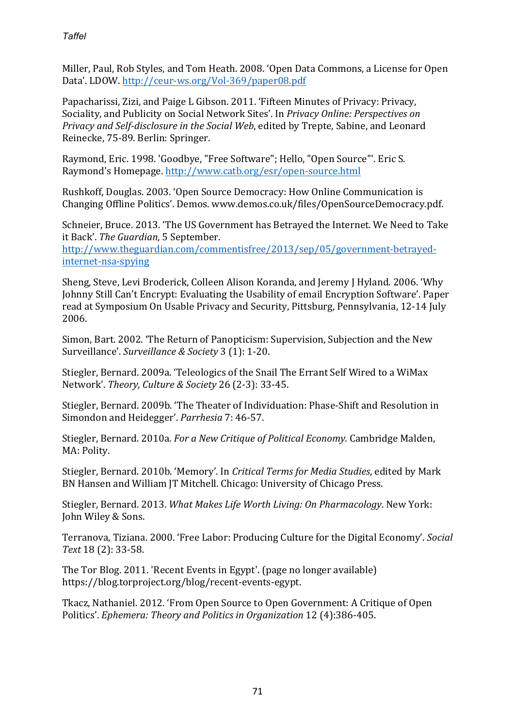Miller, Paul, Rob Styles, and Tom Heath. 2008. 'Open Data Commons, a License for Open Data'. LDOW. http://ceur-ws.org/Vol-369/paper08.pdf

Papacharissi, Zizi, and Paige L Gibson. 2011. 'Fifteen Minutes of Privacy: Privacy, Sociality, and Publicity on Social Network Sites'. In *Privacy Online: Perspectives on Privacy and Self-disclosure in the Social Web*, edited by Trepte, Sabine, and Leonard Reinecke, 75-89. Berlin: Springer.

Raymond, Eric. 1998. 'Goodbye, "Free Software": Hello, "Open Source"', Eric S. Raymond's Homepage. http://www.catb.org/esr/open-source.html

Rushkoff, Douglas. 2003. 'Open Source Democracy: How Online Communication is Changing Offline Politics'. Demos. www.demos.co.uk/files/OpenSourceDemocracy.pdf.

Schneier, Bruce. 2013. 'The US Government has Betrayed the Internet. We Need to Take it Back'. The Guardian, 5 September.

http://www.theguardian.com/commentisfree/2013/sep/05/government-betrayedinternet-nsa-spying

Sheng, Steve, Levi Broderick, Colleen Alison Koranda, and Jeremy J Hyland, 2006. 'Why Johnny Still Can't Encrypt: Evaluating the Usability of email Encryption Software'. Paper read at Symposium On Usable Privacy and Security, Pittsburg, Pennsylvania, 12-14 July 2006. 

Simon, Bart. 2002. 'The Return of Panopticism: Supervision, Subjection and the New Surveillance'. Surveillance & Society 3 (1): 1-20.

Stiegler, Bernard. 2009a. 'Teleologics of the Snail The Errant Self Wired to a WiMax Network'. Theory, Culture & Society 26 (2-3): 33-45.

Stiegler, Bernard. 2009b. 'The Theater of Individuation: Phase-Shift and Resolution in Simondon and Heidegger'. *Parrhesia* 7: 46-57.

Stiegler, Bernard. 2010a. *For a New Critique of Political Economy.* Cambridge Malden, MA: Polity.

Stiegler, Bernard, 2010b. 'Memory'. In *Critical Terms for Media Studies*, edited by Mark BN Hansen and William JT Mitchell. Chicago: University of Chicago Press.

Stiegler, Bernard. 2013. *What Makes Life Worth Living: On Pharmacology*. New York: John Wiley & Sons.

Terranova, Tiziana. 2000. 'Free Labor: Producing Culture for the Digital Economy'. *Social Text* 18 (2): 33-58.

The Tor Blog. 2011. 'Recent Events in Egypt'. (page no longer available) https://blog.torproject.org/blog/recent-events-egypt.

Tkacz, Nathaniel. 2012. 'From Open Source to Open Government: A Critique of Open Politics'. *Ephemera: Theory and Politics in Organization* 12 (4):386-405.